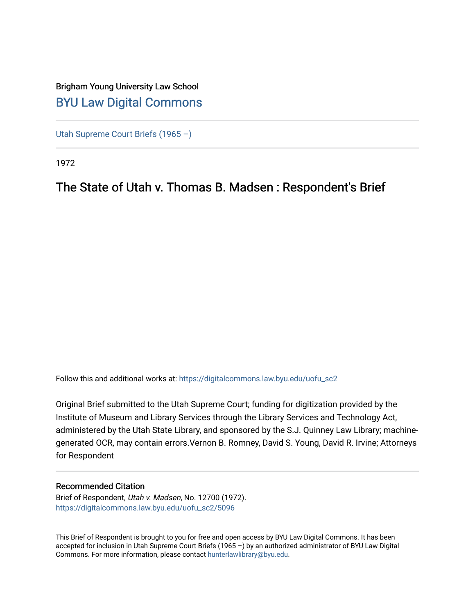## Brigham Young University Law School [BYU Law Digital Commons](https://digitalcommons.law.byu.edu/)

[Utah Supreme Court Briefs \(1965 –\)](https://digitalcommons.law.byu.edu/uofu_sc2)

1972

# The State of Utah v. Thomas B. Madsen : Respondent's Brief

Follow this and additional works at: [https://digitalcommons.law.byu.edu/uofu\\_sc2](https://digitalcommons.law.byu.edu/uofu_sc2?utm_source=digitalcommons.law.byu.edu%2Fuofu_sc2%2F5096&utm_medium=PDF&utm_campaign=PDFCoverPages)

Original Brief submitted to the Utah Supreme Court; funding for digitization provided by the Institute of Museum and Library Services through the Library Services and Technology Act, administered by the Utah State Library, and sponsored by the S.J. Quinney Law Library; machinegenerated OCR, may contain errors.Vernon B. Romney, David S. Young, David R. Irvine; Attorneys for Respondent

#### Recommended Citation

Brief of Respondent, Utah v. Madsen, No. 12700 (1972). [https://digitalcommons.law.byu.edu/uofu\\_sc2/5096](https://digitalcommons.law.byu.edu/uofu_sc2/5096?utm_source=digitalcommons.law.byu.edu%2Fuofu_sc2%2F5096&utm_medium=PDF&utm_campaign=PDFCoverPages) 

This Brief of Respondent is brought to you for free and open access by BYU Law Digital Commons. It has been accepted for inclusion in Utah Supreme Court Briefs (1965 –) by an authorized administrator of BYU Law Digital Commons. For more information, please contact [hunterlawlibrary@byu.edu](mailto:hunterlawlibrary@byu.edu).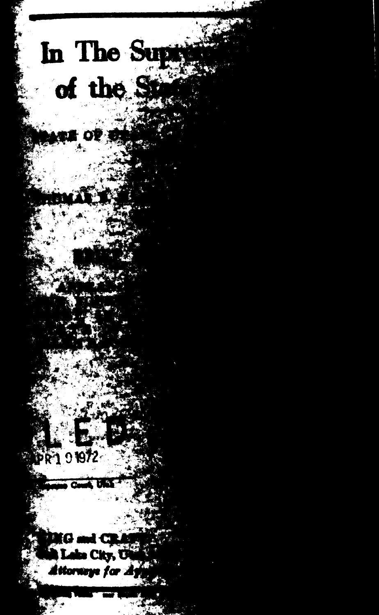In The Supry of the S

С Labo City, Com

**PR101972**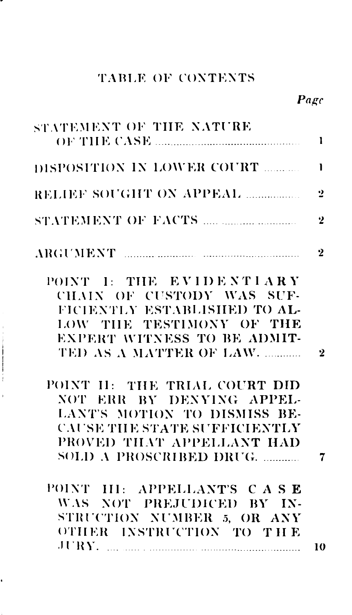| STATEMENT OF THE NATURE                                 |                |
|---------------------------------------------------------|----------------|
| DISPOSITION IN LOWER COURT                              | <sup>1</sup>   |
| RELIEF SOUGHT ON APPEAL                                 | 2              |
|                                                         | $\overline{2}$ |
| ARGUMENT <b>MARIOLE AND RESERVE ARGUMENT</b>            | $\mathbf{2}$   |
| POINT I: THE EVIDENTIARY                                |                |
| CHAIN OF CUSTODY WAS SUF-                               |                |
| FICIENTLY ESTABLISHED TO AL-                            |                |
| LOW THE TESTIMONY OF THE<br>EXPERT WITNESS TO BE ADMIT- |                |
| TED AS A MATTER OF LAW.                                 | $\mathbf{2}$   |
|                                                         |                |
| POINT II: THE TRIAL COURT DID                           |                |
| NOT ERR BY DENYING APPEL-                               |                |
| LANT'S MOTION TO DISMISS BE-                            |                |
| <b>CAUSE THE STATE SUFFICIENTLY</b>                     |                |
| PROVED THAT APPELLANT HAD                               |                |
| SOLD A PROSCRIBED DRUG.                                 |                |
|                                                         |                |
| POINT III: APPELLANT'S CASE                             |                |
| WAS NOT PREJUDICED BY IN-                               |                |
| STRUCTION NUMBER 5, OR ANY                              |                |
| OTHER INSTRUCTION TO THE                                |                |
| JURY.                                                   | 10             |

 $\sim$   $\sim$   $\sim$   $\sim$   $\sim$   $\sim$ 

 $\overline{\phantom{a}}$ 

 $\ddot{\phantom{0}}$ 

## TABLE OF CONTENTS

Page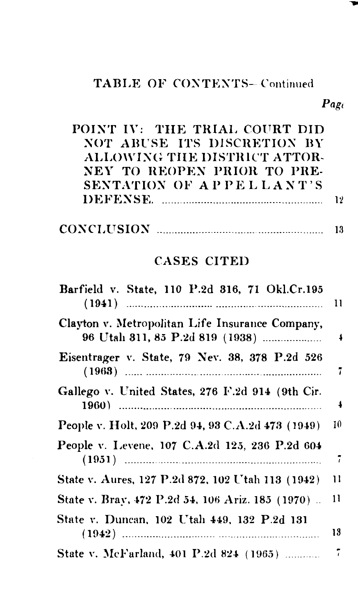## TABLE OF CONTENTS-Continued

| POINT IV: THE TRIAL COURT DID |    |
|-------------------------------|----|
| NOT ABUSE ITS DISCRETION BY   |    |
| ALLOWING THE DISTRICT ATTOR-  |    |
| NEY TO REOPEN PRIOR TO PRE-   |    |
| SENTATION OF APPELLANT'S      |    |
|                               | 17 |
|                               |    |

| <b>CONCLUSION</b> |  |
|-------------------|--|
|                   |  |

## CASES CITED

| Barfield v. State, 110 P.2d 316, 71 Okl.Cr.195                                     | $\mathbf{1}$ |
|------------------------------------------------------------------------------------|--------------|
| Clayton v. Metropolitan Life Insurance Company,<br>96 Utah 311, 85 P.2d 819 (1938) | 4            |
| Eisentrager v. State, 79 Nev. 38, 378 P.2d 526                                     | 7            |
| Gallego v. United States, 276 F.2d 914 (9th Cir.                                   | 4            |
| People v. Holt, 209 P.2d 94, 93 C.A.2d 473 (1949)                                  | 10           |
| People v. Levene, 107 C.A.2d 125, 236 P.2d 604                                     | $\tilde{i}$  |
| State v. Aures, 127 P.2d 872, 102 Utah 113 (1942)                                  | Ħ            |
| State v. Bray, 472 P.2d 54, 106 Ariz. 185 (1970)                                   | 11           |
| State v. Duncan, 102 Utah 449, 132 P.2d 131                                        | 13           |
| State v. McFarland, 401 P.2d 824 (1965)                                            | 7            |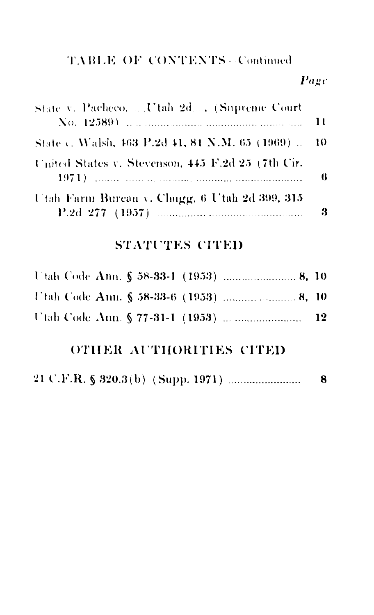## **TABLE OF CONTENTS - Continued**

#### Page

| State v. Pacheco,  Utah 2d, (Supreme Court         | $\overline{11}$ |
|----------------------------------------------------|-----------------|
| State v. Walsh, 463 P.2d 41, 81 N.M. 65 (1969)  10 |                 |
| United States v. Stevenson, 445 F.2d 25 (7th Cir.  | - 6             |
| Utah Farm Bureau v. Chugg, 6 Utah 2d 399, 315      | - 3             |

## STATUTES CITED

## OTHER AUTHORITIES CITED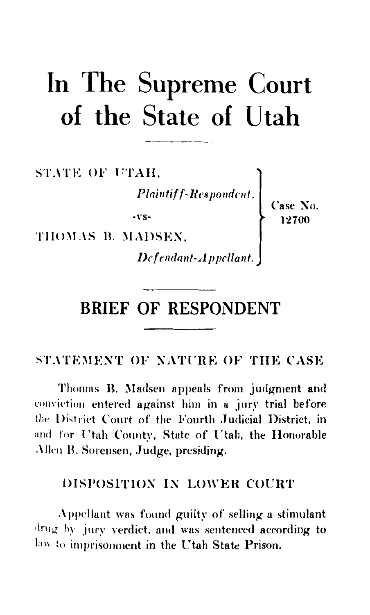# In The Supreme Court of the State of Utah

STATE OF UTAH,

 $\begin{array}{c}\n\therefore\text{AH},\\ \text{Plaintiff-Respondent},\\ \n-r\text{s-}\\\n\text{I-12700}\n\end{array}\n\qquad \qquad \begin{array}{c}\n\text{Case No.}\\ \n\text{I2700}\n\end{array}$ 

THOMAS B. MADSEN,

Defendant-Appellant.

# **BRIEF OF RESPONDENT**

STATEMENT OF NATURE OF THE CASE

Thomas B. Madsen appeals from judgment and conviction entered against him in a jury trial before the District Court of the Fourth Judicial District, in and for Utah County, State of Utah, the Honorable Allen B. Sorensen, Judge, presiding.

#### DISPOSITION IN LOWER COURT

Appellant was found guilty of selling a stimulant drug by jury verdict, and was sentenced according to law to imprisonment in the Utah State Prison.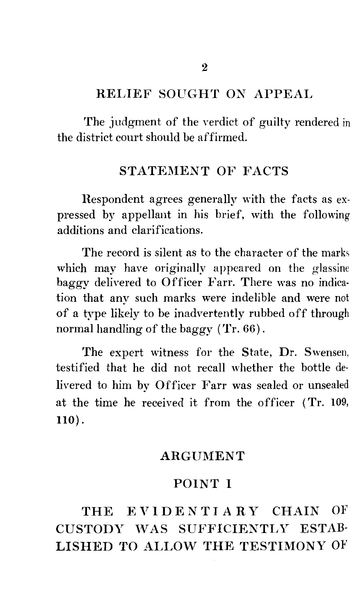#### RELIEF SOUGHT ON APPEAL

The judgment of the verdict of guilty rendered in the district court should be affirmed.

#### STATEMENT OF FACTS

Respondent agrees generally with the facts as expressed by appellant in his brief, with the following additions and clarifications.

The record is silent as to the character of the marks which may have originally appeared on the glassine baggy delivered to Officer Farr. There was no indication that any such marks were indelible and were not of a type likely to be inadvertently rubbed off through normal handling of the baggy (Tr. 66).

The expert witness for the State, Dr. Swensen. testified that he did not recall whether the bottle delivered to him by Officer Farr was sealed or unsealed at the time he received it from the officer (Tr. 109, llO).

#### **ARGUMENT**

#### POINT I

## THE EVIDENTIARY CHAIN OF CUSTODY 'VAS SUFFICIENTLY ESTAB-LISHED TO ALLOW THE TESTIMONY OF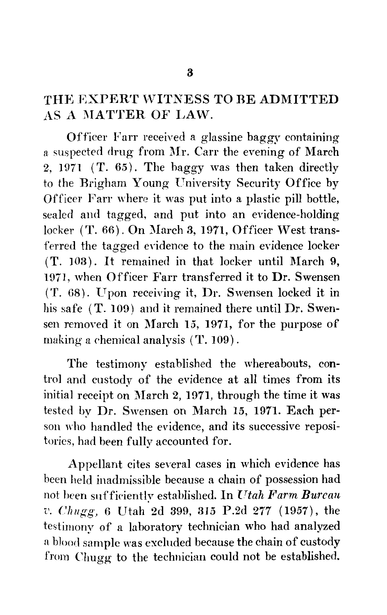#### THE EXPERT WITNESS TO BE ADMITTED AS A MATTER OF LAW.

Officer Farr received a glassine baggy containing a suspected drug from Mr. Carr the evening of March 2, 1971 (T.  $65$ ). The baggy was then taken directly to the Brigham Young University Security Office by Officer Farr where it was put into a plastic pill bottle, sealed and tagged, and put into an evidence-holding locker  $(T. 66)$ . On March 3, 1971, Officer West transferred the tagged evidence to the main evidence locker  $(T. 103)$ . It remained in that locker until March 9. 1971, when Officer Farr transferred it to Dr. Swensen ( T. G8). Upon receiving it, Dr. Swensen locked it in his safe (T. 109) and it remained there until Dr. Swensen removed it on March 15, 1971, for the purpose of making a chemical analysis ( T. 109).

The testimony established the whereabouts, control and custody of the evidence at all times from its initial receipt on March 2, 1971, through the time it was tested by Dr. Swensen on March 15, 1971. Each person who handled the evidence, and its successive repositories, had been fully accounted for.

Appellant cites several cases in which evidence has been held inadmissible because a chain of possession had not been snffieiently established. In *Utah Farm Burcan v. Chugg.* 6 Utah 2d 399, 315 P.2d 277 (1957), the testimony of a laboratory technician who had analyzed a blood sample was excluded because the chain of custody from Chugg to the technician could not be established.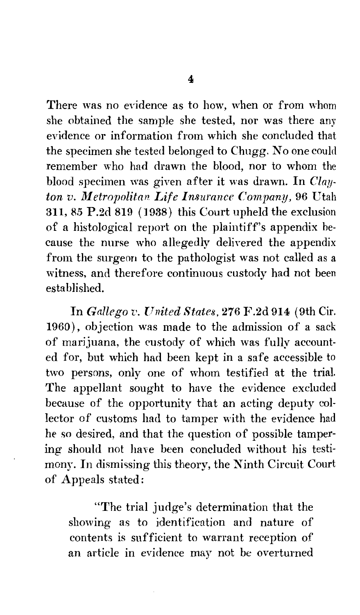There was no evidence as to how, when or from whom she obtained the sample she tested, nor was there any evidence or information from which she concluded that the specimen she tested belonged to Chugg. No one could remember who had drawn the blood, nor to whom the blood specimen was given after it was drawn. In *Clayton v. Metropolitan Life Insurance Company,* 96 Utah  $311, 85$  P.2d  $819$  (1938) this Court upheld the exclusion of a histological report on the plaintiff's appendix because the nurse who allegedly delivered the appendix from the surgeon to the pathologist was not called as a witness, and therefore continuous custody had not been established.

In *Gallego v. United States,* 276 F.2d 914 (9th Cir. 1960), objection was made to the admission of a sack of marijuana, the custody of which was fully accounted for, but which had been kept in a safe accessible to two persons, only one of whom testified at the trial. The appellant sought to have the evidence excluded because of the opportunity that an acting deputy collector of customs had to tamper with the evidence had he so desired, and that the question of possible tampering should not have been concluded without his testimony. In dismissing this theory, the Ninth Circuit Court of Appeals stated:

"The trial judge's determination that the showing as to identification and nature of contents is sufficient to warrant reception of an article in evidence may not be overturned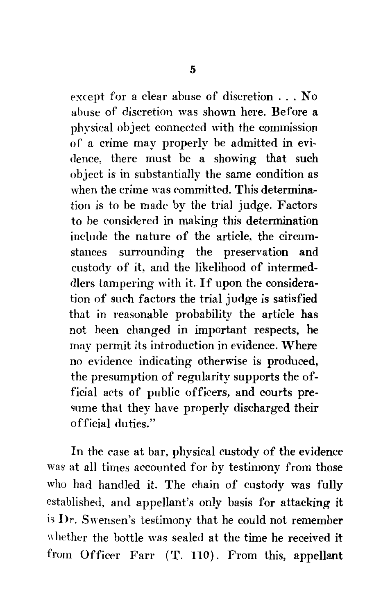except for a clear abuse of discretion . . . No abuse of discretion was shown here. Before a physical object connected with the commission of a crime may properly be admitted in evidence, there must be a showing that such object is in substantially the same condition as when the crime was committed. This determination is to be made by the trial judge. Factors to be considered in making this determination include the nature of the article, the circumstances surrounding the preservation and custody of it, and the likelihood of intermed dlers tampering with it. If upon the consideration of such factors the trial judge is satisfied that in reasonable probability the article has not been changed in important respects, he may permit its introduction in evidence. Where no evidence indicating otherwise is produced, the presumption of regularity supports the official acts of public officers, and courts presume that they have properly discharged their official duties."

In the case at bar, physical custody of the evidence was at all times accounted for by testimony from those who had handled it. The chain of custody was fully established, and appellant's only basis for attacking it is Dr. Swensen's testimony that he could not remember whether the bottle was sealed at the time he received it from Officer Farr ('f. 110). From this, appellant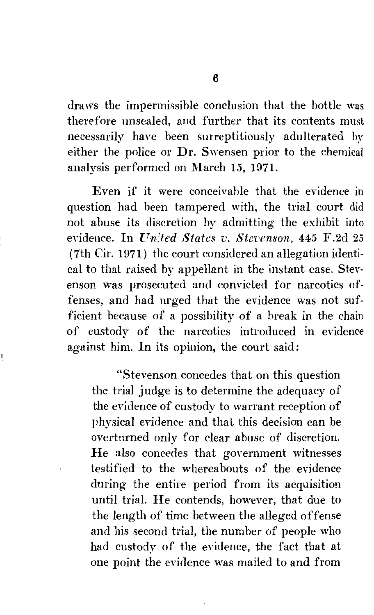draws the impermissible conclusion thal the bottle was therefore unsealed, and further that its contents must necessarily have been surreptitiously adulterated by either the police or Dr. Swensen prior to the chemical analysis performed on March 15, 1971.

Even if it were conceivable that the evidence in question had been tampered with, the trial court did not abuse its discretion by admitting the exhibit into evidence. In *[Tn:ted States v. Stevenson,* 445 F.2d 25 (7th Cir. 1971) the court considered an allegation identical to that raised by appellant in the instant case. Stevenson was prosecuted and convicted for narcotics offenses, and had urged that the evidence was not sufficient because of a possibility of a break in the chain of custody of the narcotics introduced in evidence against him. In its opinion, the court said:

"Stevenson concedes that on this question the trial judge is to determine the adequacy of the evidence of custody to warrant reception of physical evidence and that this decision can be overturned only for clear abuse of discretion. Ile also concedes that government witnesses testified to the whereabouts of the evidence during the entire period from its acquisition until trial. Ile contends, however, that due to the length of time between the alleged offense and his second trial, the number of people who had custody of the evidence, the fact that at one point the evidence was mailed to and from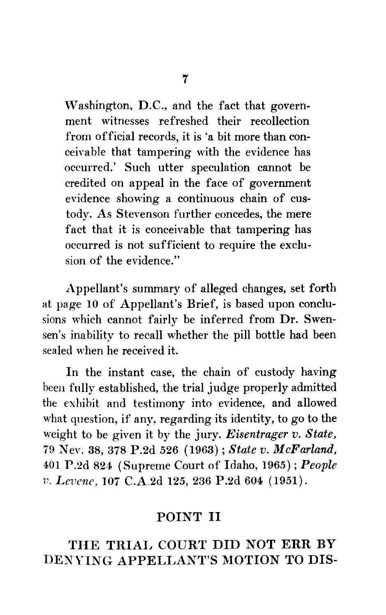Washington, D.C., and the fact that government witnesses refreshed their recollection from official records, it is 'a bit more than conceivable that tampering with the evidence has occurred.' Such utter speculation cannot be credited on appeal in the face of government evidence showing a continuous chain of custody. As Stevenson further concedes, the mere fact that it is conceivable that tampering has occurred is not sufficient to require the exclusion of the evidence."

Appellant's summary of alleged changes, set forth at page 10 of Appellant's Brief, is based upon conclusions which cannot fairly be inferred from Dr. Swensen's inability to recall whether the pill bottle had been sealed when he received it.

In the instant case, the chain of custody having been fully established, the trial judge properly admitted the exhibit and testimony into evidence, and allowed what question, if any, regarding its identity, to go to the weight to be given it by the jury. *Eisentrager v. State,*  79 Nev. 38, 378 P.2d 526 (1963); *State v. McFarland,*  401 P .2d 824 (Supreme Court of Idaho, 1965) ; *People v. Levene*, 107 C.A.2d 125, 236 P.2d 604 (1951).

#### POINT II

### THE TRIAL COURT DID NOT ERR BY DENYING APPELLANT'S MOTION TO DIS-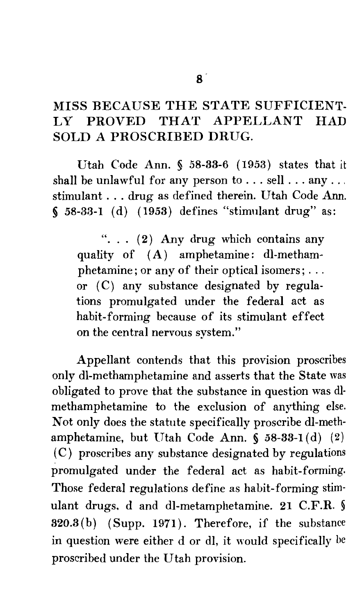## MISS BECAUSE THE STATE SUFFICIENT-LY PROVED THAT APPELLANT HAD SOLD A PROSCRIBED DRUG.

Utah Code Ann. § 58-33-6 ( 1953) states that it shall be unlawful for any person to ... sell ... any ... stimulant ... drug as defined therein. Utah Code Ann.  $$58-33-1$  (d) (1953) defines "stimulant drug" as:

"...  $(2)$  Any drug which contains any quality of (A) amphetamine: dl-methamphetamine; or any of their optical isomers; ... or  $(C)$  any substance designated by regulations promulgated under the federal act as habit-forming because of its stimulant effect on the central nervous system."

Appellant contends that this provision proscribes only dl-methamphetamine and asserts that the State was obligated to prove that the substance in question was dlmethamphetamine to the exclusion of anything else. Not only does the statute specifically proscribe dl-methamphetamine, but Utah Code Ann. § 58-33-1(d)  $(2)$ ( C) proscribes any substance designated by regulations promulgated under the federal act as habit-forming. Those federal regulations define as habit-forming stimulant drugs. d and dl-metamphetamine. 21 C.F.R. § 320.3(b) (Supp. 1971). Therefore, if the substance in question were either d or dl, it would specifically he proscribed under the Utah provision.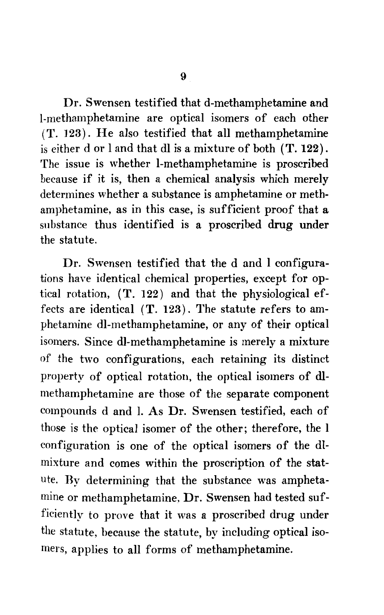Dr. Swensen testified that d-methamphetamine and 1-methamphetamine are optical isomers of each other (T. 123). Ile also testified that all methamphetamine is either d or 1 and that dl is a mixture of both (T. 122). The issue is whether 1-methamphetamine is proscribed because if it is, then a chemical analysis which merely determines whether a substance is amphetamine or methamphetamine, as in this case, is sufficient proof that a substance thus identified is a proscribed drug under the statute.

Dr. Swensen testified that the d and 1 configurations have identical chemical properties, except for optical rotation,  $(T. 122)$  and that the physiological effects are identical (T. 123). The statute refers to amphetamine dl-methamphetamine, or any of their optical isomers. Since dl-methamphetamine is merely a mixture of the two configurations, each retaining its distinct property of optical rotation, the optical isomers of dlmethamphetamine are those of the separate component compounds d and I. As Dr. Swensen testified, each of those is the optical isomer of the other; therefore, the I configuration is one of the optical isomers of the dlmixture and comes within the proscription of the statute. By determining that the substance was amphetamine or methamphetamine. Dr. Swensen had tested sufficiently to prove that it was a proscribed drug under the statute, because the statute, by including optical isomers, applies to all forms of methamphetamine.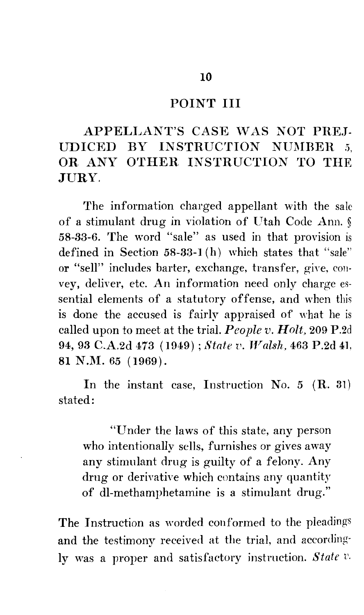#### POINT III

## APPELLANT'S CASE WAS NOT PREJ-UDICED BY INSTRUCTION NUMBER 5, OR ANY OTHER INSTRUCTION TO THE JURY.

The information charged appellant with the sale of a stimulant drug in violation of Utah Code Ann. § 58-33-6. The word "sale" as used in that provision is defined in Section 58-33-1 (h) which states that "sale" or "sell" includes barter, exchange, transfer, give, convey, deliver, etc. An information need only charge essential elements of a statutory offense, and when this is done the accused is fairly appraised of what he is called upon to meet at the trial. *People v. Holt,* 209 P.2d 94, 93 C.A.2d 473 (1949); *State v. Walsh, 463 P.2d 41,* 81 N.M. 65 (1969).

In the instant case, Instruction No. 5 (R. 31) stated:

"Under the laws of this state, any person who intentionally sells, furnishes or gives away any stimulant drug is guilty of a felony. Any drug or derivative which contains any quantity of dl-methamphetamine is a stimulant drug."

The Instruction as worded conformed to the pleadings and the testimony received at the trial, and accordingly was a proper and satisfactory instruction. *State v.*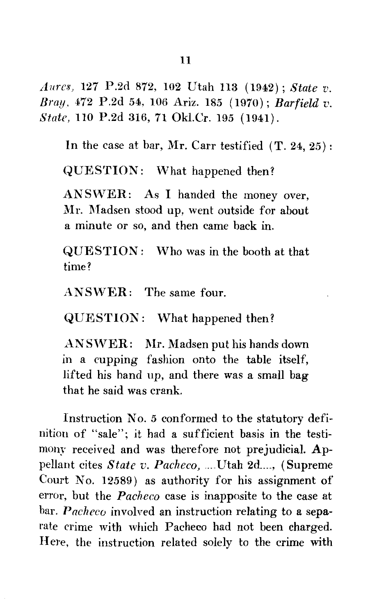*Aures*, 127 P.2d 872, 102 Utah 113 (1942); *State v. Bray,* 472 P.2d 54, 106 Ariz. 185 (1970); *Barfield v. State,* 110 P.2d 316, 71 Okl.Cr. 195 ( 1941).

In the case at bar, Mr. Carr testified  $(T. 24, 25)$ :

QUESTION: What happened then?

ANSWER: As I handed the money over, Mr. Madsen stood up, went outside for about a minute or so, and then came back in.

QUESTION: Who was in the booth at that time?

ANSWER: The same four.

QUESTION: What happened then?

ANSWER: Mr. Madsen put his hands down in a cupping fashion onto the table itself, lifted his hand up, and there was a small bag that he said was crank.

Instruction No. 5 conformed to the statutory definition of "sale"; it had a sufficient basis in the testimony received and was therefore not prejudicial. Appellant cites State v. Pacheco, .... Utah 2d ...., (Supreme Court No. 12589) as authority for his assignment of error, but the *Pacheco* case is inapposite to the case at bar. *Pacheco* involved an instruction relating to a separate crime with which Pacheco had not been charged. Here, the instruction related solely to the crime with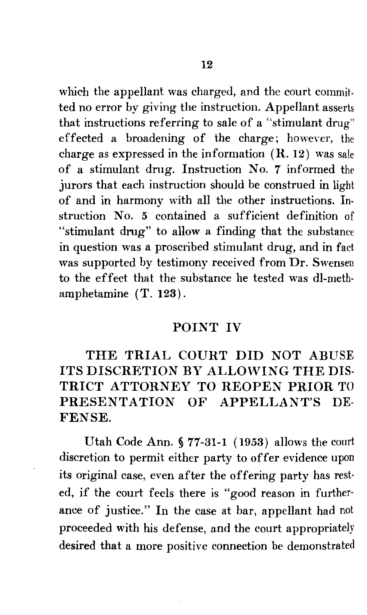which the appellant was charged, and the court committed no error by giving the instruction. Appellant asserts that instructions referring to sale of a "stimulant drug" effected a broadening of the charge; however, the charge as expressed in the information  $(R. 12)$  was sale of a stimulant drug. Instruction No. 7 informed the jurors that each instruction should be construed in light of and in harmony with all the other instructions. Instruction No. 5 contained a sufficient definition of "stimulant drug" to allow a finding that the substance in question was a proscribed stimulant drug, and in fact was supported by testimony received from Dr. Swensen to the effect that the substance he tested was dl-methamphetamine (T. 123).

#### POINT IV

THE TRIAL COURT DID NOT ABUSE ITS DISCRETION BY ALLOWING THE DIS-TRICT ATTORNEY TO REOPEN PRIOR TO PRESENTATION OF APPELLANT'S DE-FENSE.

Utah Code Ann. § 77-31-1 (1953) allows the court discretion to permit either party to offer evidence upon its original case, even after the offering party has rested, if the court feels there is "good reason in furtherance of justice." In the case at bar, appellant had not proceeded with his defense, and the court appropriately desired that a more positive connection be demonstrated